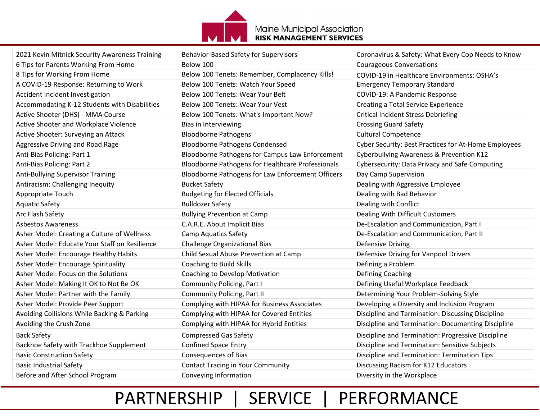

| 2021 Kevin Mitnick Security Awareness Training | Behavior-Based Safety for Supervisors             | Coronavirus & Safety: What Every Cop Needs to Know   |
|------------------------------------------------|---------------------------------------------------|------------------------------------------------------|
| 6 Tips for Parents Working From Home           | Below 100                                         | <b>Courageous Conversations</b>                      |
| 8 Tips for Working From Home                   | Below 100 Tenets: Remember, Complacency Kills!    | COVID-19 in Healthcare Environments: OSHA's          |
| A COVID-19 Response: Returning to Work         | Below 100 Tenets: Watch Your Speed                | <b>Emergency Temporary Standard</b>                  |
| Accident Incident Investigation                | Below 100 Tenets: Wear Your Belt                  | COVID-19: A Pandemic Response                        |
| Accommodating K-12 Students with Disabilities  | Below 100 Tenets: Wear Your Vest                  | <b>Creating a Total Service Experience</b>           |
| Active Shooter (DHS) - MMA Course              | Below 100 Tenets: What's Important Now?           | <b>Critical Incident Stress Debriefing</b>           |
| Active Shooter and Workplace Violence          | Bias in Interviewing                              | <b>Crossing Guard Safety</b>                         |
| Active Shooter: Surveying an Attack            | <b>Bloodborne Pathogens</b>                       | <b>Cultural Competence</b>                           |
| Aggressive Driving and Road Rage               | <b>Bloodborne Pathogens Condensed</b>             | Cyber Security: Best Practices for At-Home Employees |
| Anti-Bias Policing: Part 1                     | Bloodborne Pathogens for Campus Law Enforcement   | Cyberbullying Awareness & Prevention K12             |
| Anti-Bias Policing: Part 2                     | Bloodborne Pathogens for Healthcare Professionals | Cybersecurity: Data Privacy and Safe Computing       |
| Anti-Bullying Supervisor Training              | Bloodborne Pathogens for Law Enforcement Officers | Day Camp Supervision                                 |
| Antiracism: Challenging Inequity               | <b>Bucket Safety</b>                              | Dealing with Aggressive Employee                     |
| Appropriate Touch                              | <b>Budgeting for Elected Officials</b>            | Dealing with Bad Behavior                            |
| <b>Aquatic Safety</b>                          | <b>Bulldozer Safety</b>                           | Dealing with Conflict                                |
| Arc Flash Safety                               | <b>Bullying Prevention at Camp</b>                | Dealing With Difficult Customers                     |
| <b>Asbestos Awareness</b>                      | C.A.R.E. About Implicit Bias                      | De-Escalation and Communication, Part I              |
| Asher Model: Creating a Culture of Wellness    | <b>Camp Aquatics Safety</b>                       | De-Escalation and Communication, Part II             |
| Asher Model: Educate Your Staff on Resilience  | Challenge Organizational Bias                     | <b>Defensive Driving</b>                             |
| Asher Model: Encourage Healthy Habits          | Child Sexual Abuse Prevention at Camp             | Defensive Driving for Vanpool Drivers                |
| Asher Model: Encourage Spirituality            | Coaching to Build Skills                          | Defining a Problem                                   |
| Asher Model: Focus on the Solutions            | Coaching to Develop Motivation                    | Defining Coaching                                    |
| Asher Model: Making It OK to Not Be OK         | Community Policing, Part I                        | Defining Useful Workplace Feedback                   |
| Asher Model: Partner with the Family           | Community Policing, Part II                       | Determining Your Problem-Solving Style               |
| Asher Model: Provide Peer Support              | Complying with HIPAA for Business Associates      | Developing a Diversity and Inclusion Program         |
| Avoiding Collisions While Backing & Parking    | Complying with HIPAA for Covered Entities         | Discipline and Termination: Discussing Discipline    |
| Avoiding the Crush Zone                        | Complying with HIPAA for Hybrid Entities          | Discipline and Termination: Documenting Discipline   |
| <b>Back Safety</b>                             | <b>Compressed Gas Safety</b>                      | Discipline and Termination: Progressive Discipline   |
| Backhoe Safety with Trackhoe Supplement        | <b>Confined Space Entry</b>                       | Discipline and Termination: Sensitive Subjects       |
| <b>Basic Construction Safety</b>               | <b>Consequences of Bias</b>                       | Discipline and Termination: Termination Tips         |
| <b>Basic Industrial Safety</b>                 | <b>Contact Tracing in Your Community</b>          | Discussing Racism for K12 Educators                  |
| Before and After School Program                | Conveying Information                             | Diversity in the Workplace                           |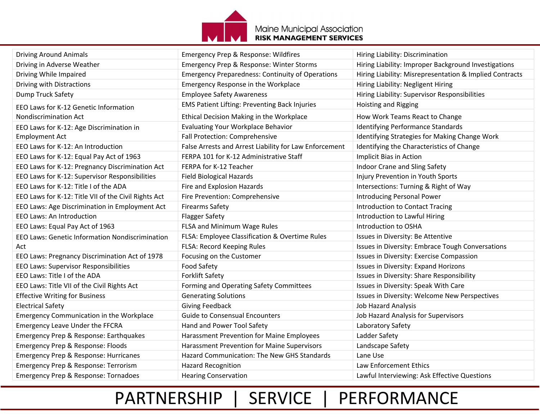

| <b>Driving Around Animals</b>                        | Emergency Prep & Response: Wildfires                    | Hiring Liability: Discrimination                        |
|------------------------------------------------------|---------------------------------------------------------|---------------------------------------------------------|
| Driving in Adverse Weather                           | Emergency Prep & Response: Winter Storms                | Hiring Liability: Improper Background Investigations    |
| Driving While Impaired                               | <b>Emergency Preparedness: Continuity of Operations</b> | Hiring Liability: Misrepresentation & Implied Contracts |
| Driving with Distractions                            | Emergency Response in the Workplace                     | Hiring Liability: Negligent Hiring                      |
| Dump Truck Safety                                    | <b>Employee Safety Awareness</b>                        | Hiring Liability: Supervisor Responsibilities           |
| EEO Laws for K-12 Genetic Information                | EMS Patient Lifting: Preventing Back Injuries           | <b>Hoisting and Rigging</b>                             |
| <b>Nondiscrimination Act</b>                         | Ethical Decision Making in the Workplace                | How Work Teams React to Change                          |
| EEO Laws for K-12: Age Discrimination in             | <b>Evaluating Your Workplace Behavior</b>               | Identifying Performance Standards                       |
| <b>Employment Act</b>                                | Fall Protection: Comprehensive                          | Identifying Strategies for Making Change Work           |
| EEO Laws for K-12: An Introduction                   | False Arrests and Arrest Liability for Law Enforcement  | Identifying the Characteristics of Change               |
| EEO Laws for K-12: Equal Pay Act of 1963             | FERPA 101 for K-12 Administrative Staff                 | Implicit Bias in Action                                 |
| EEO Laws for K-12: Pregnancy Discrimination Act      | FERPA for K-12 Teacher                                  | Indoor Crane and Sling Safety                           |
| EEO Laws for K-12: Supervisor Responsibilities       | <b>Field Biological Hazards</b>                         | Injury Prevention in Youth Sports                       |
| EEO Laws for K-12: Title I of the ADA                | Fire and Explosion Hazards                              | Intersections: Turning & Right of Way                   |
| EEO Laws for K-12: Title VII of the Civil Rights Act | Fire Prevention: Comprehensive                          | <b>Introducing Personal Power</b>                       |
| EEO Laws: Age Discrimination in Employment Act       | <b>Firearms Safety</b>                                  | <b>Introduction to Contact Tracing</b>                  |
| <b>EEO Laws: An Introduction</b>                     | <b>Flagger Safety</b>                                   | Introduction to Lawful Hiring                           |
| EEO Laws: Equal Pay Act of 1963                      | FLSA and Minimum Wage Rules                             | Introduction to OSHA                                    |
| EEO Laws: Genetic Information Nondiscrimination      | FLSA: Employee Classification & Overtime Rules          | Issues in Diversity: Be Attentive                       |
| Act                                                  | FLSA: Record Keeping Rules                              | Issues in Diversity: Embrace Tough Conversations        |
| EEO Laws: Pregnancy Discrimination Act of 1978       | Focusing on the Customer                                | Issues in Diversity: Exercise Compassion                |
| EEO Laws: Supervisor Responsibilities                | Food Safety                                             | Issues in Diversity: Expand Horizons                    |
| EEO Laws: Title I of the ADA                         | <b>Forklift Safety</b>                                  | Issues in Diversity: Share Responsibility               |
| EEO Laws: Title VII of the Civil Rights Act          | Forming and Operating Safety Committees                 | Issues in Diversity: Speak With Care                    |
| <b>Effective Writing for Business</b>                | <b>Generating Solutions</b>                             | Issues in Diversity: Welcome New Perspectives           |
| <b>Electrical Safety</b>                             | <b>Giving Feedback</b>                                  | <b>Job Hazard Analysis</b>                              |
| <b>Emergency Communication in the Workplace</b>      | <b>Guide to Consensual Encounters</b>                   | Job Hazard Analysis for Supervisors                     |
| <b>Emergency Leave Under the FFCRA</b>               | Hand and Power Tool Safety                              | Laboratory Safety                                       |
| Emergency Prep & Response: Earthquakes               | Harassment Prevention for Maine Employees               | Ladder Safety                                           |
| Emergency Prep & Response: Floods                    | Harassment Prevention for Maine Supervisors             | Landscape Safety                                        |
| Emergency Prep & Response: Hurricanes                | Hazard Communication: The New GHS Standards             | Lane Use                                                |
| Emergency Prep & Response: Terrorism                 | <b>Hazard Recognition</b>                               | Law Enforcement Ethics                                  |
| Emergency Prep & Response: Tornadoes                 | <b>Hearing Conservation</b>                             | Lawful Interviewing: Ask Effective Questions            |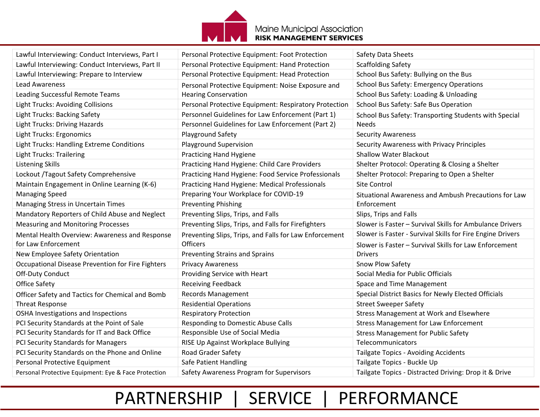

| Lawful Interviewing: Conduct Interviews, Part I      | Personal Protective Equipment: Foot Protection         | Safety Data Sheets                                         |
|------------------------------------------------------|--------------------------------------------------------|------------------------------------------------------------|
| Lawful Interviewing: Conduct Interviews, Part II     | Personal Protective Equipment: Hand Protection         | <b>Scaffolding Safety</b>                                  |
| Lawful Interviewing: Prepare to Interview            | Personal Protective Equipment: Head Protection         | School Bus Safety: Bullying on the Bus                     |
| <b>Lead Awareness</b>                                | Personal Protective Equipment: Noise Exposure and      | School Bus Safety: Emergency Operations                    |
| Leading Successful Remote Teams                      | <b>Hearing Conservation</b>                            | School Bus Safety: Loading & Unloading                     |
| <b>Light Trucks: Avoiding Collisions</b>             | Personal Protective Equipment: Respiratory Protection  | School Bus Safety: Safe Bus Operation                      |
| <b>Light Trucks: Backing Safety</b>                  | Personnel Guidelines for Law Enforcement (Part 1)      | School Bus Safety: Transporting Students with Special      |
| <b>Light Trucks: Driving Hazards</b>                 | Personnel Guidelines for Law Enforcement (Part 2)      | Needs                                                      |
| Light Trucks: Ergonomics                             | <b>Playground Safety</b>                               | <b>Security Awareness</b>                                  |
| Light Trucks: Handling Extreme Conditions            | <b>Playground Supervision</b>                          | Security Awareness with Privacy Principles                 |
| <b>Light Trucks: Trailering</b>                      | <b>Practicing Hand Hygiene</b>                         | <b>Shallow Water Blackout</b>                              |
| <b>Listening Skills</b>                              | Practicing Hand Hygiene: Child Care Providers          | Shelter Protocol: Operating & Closing a Shelter            |
| Lockout /Tagout Safety Comprehensive                 | Practicing Hand Hygiene: Food Service Professionals    | Shelter Protocol: Preparing to Open a Shelter              |
| Maintain Engagement in Online Learning (K-6)         | <b>Practicing Hand Hygiene: Medical Professionals</b>  | Site Control                                               |
| <b>Managing Speed</b>                                | Preparing Your Workplace for COVID-19                  | Situational Awareness and Ambush Precautions for Law       |
| Managing Stress in Uncertain Times                   | <b>Preventing Phishing</b>                             | Enforcement                                                |
| Mandatory Reporters of Child Abuse and Neglect       | Preventing Slips, Trips, and Falls                     | Slips, Trips and Falls                                     |
| <b>Measuring and Monitoring Processes</b>            | Preventing Slips, Trips, and Falls for Firefighters    | Slower is Faster - Survival Skills for Ambulance Drivers   |
| Mental Health Overview: Awareness and Response       | Preventing Slips, Trips, and Falls for Law Enforcement | Slower is Faster - Survival Skills for Fire Engine Drivers |
| for Law Enforcement                                  | <b>Officers</b>                                        | Slower is Faster - Survival Skills for Law Enforcement     |
| New Employee Safety Orientation                      | Preventing Strains and Sprains                         | <b>Drivers</b>                                             |
| Occupational Disease Prevention for Fire Fighters    | <b>Privacy Awareness</b>                               | Snow Plow Safety                                           |
| Off-Duty Conduct                                     | Providing Service with Heart                           | Social Media for Public Officials                          |
| Office Safety                                        | <b>Receiving Feedback</b>                              | Space and Time Management                                  |
| Officer Safety and Tactics for Chemical and Bomb     | <b>Records Management</b>                              | Special District Basics for Newly Elected Officials        |
| <b>Threat Response</b>                               | <b>Residential Operations</b>                          | <b>Street Sweeper Safety</b>                               |
| OSHA Investigations and Inspections                  | <b>Respiratory Protection</b>                          | <b>Stress Management at Work and Elsewhere</b>             |
| PCI Security Standards at the Point of Sale          | Responding to Domestic Abuse Calls                     | <b>Stress Management for Law Enforcement</b>               |
| PCI Security Standards for IT and Back Office        | Responsible Use of Social Media                        | <b>Stress Management for Public Safety</b>                 |
| PCI Security Standards for Managers                  | RISE Up Against Workplace Bullying                     | Telecommunicators                                          |
| PCI Security Standards on the Phone and Online       | Road Grader Safety                                     | Tailgate Topics - Avoiding Accidents                       |
| Personal Protective Equipment                        | Safe Patient Handling                                  | Tailgate Topics - Buckle Up                                |
| Personal Protective Equipment: Eye & Face Protection | Safety Awareness Program for Supervisors               | Tailgate Topics - Distracted Driving: Drop it & Drive      |